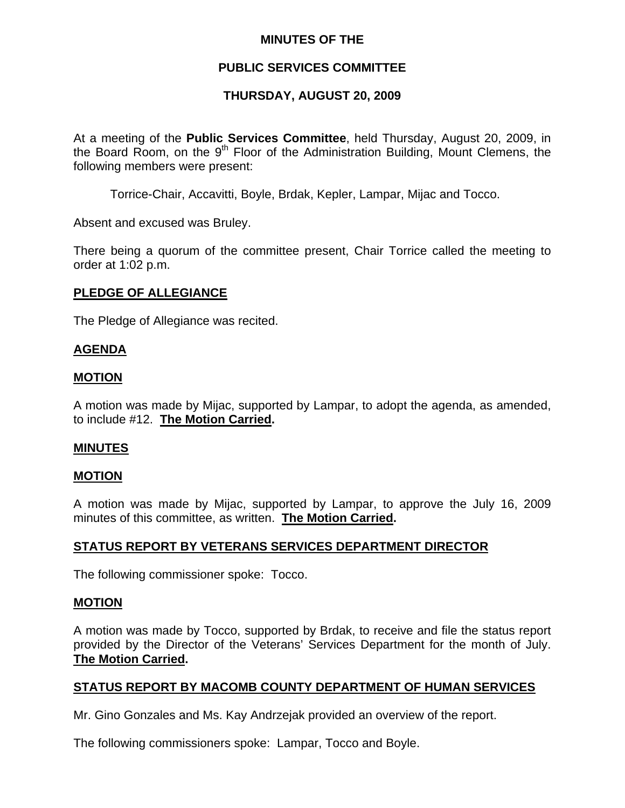## **MINUTES OF THE**

## **PUBLIC SERVICES COMMITTEE**

## **THURSDAY, AUGUST 20, 2009**

At a meeting of the **Public Services Committee**, held Thursday, August 20, 2009, in the Board Room, on the  $9<sup>th</sup>$  Floor of the Administration Building, Mount Clemens, the following members were present:

Torrice-Chair, Accavitti, Boyle, Brdak, Kepler, Lampar, Mijac and Tocco.

Absent and excused was Bruley.

There being a quorum of the committee present, Chair Torrice called the meeting to order at 1:02 p.m.

### **PLEDGE OF ALLEGIANCE**

The Pledge of Allegiance was recited.

### **AGENDA**

### **MOTION**

A motion was made by Mijac, supported by Lampar, to adopt the agenda, as amended, to include #12. **The Motion Carried.** 

#### **MINUTES**

#### **MOTION**

A motion was made by Mijac, supported by Lampar, to approve the July 16, 2009 minutes of this committee, as written. **The Motion Carried.** 

## **STATUS REPORT BY VETERANS SERVICES DEPARTMENT DIRECTOR**

The following commissioner spoke: Tocco.

#### **MOTION**

A motion was made by Tocco, supported by Brdak, to receive and file the status report provided by the Director of the Veterans' Services Department for the month of July. **The Motion Carried.** 

## **STATUS REPORT BY MACOMB COUNTY DEPARTMENT OF HUMAN SERVICES**

Mr. Gino Gonzales and Ms. Kay Andrzejak provided an overview of the report.

The following commissioners spoke: Lampar, Tocco and Boyle.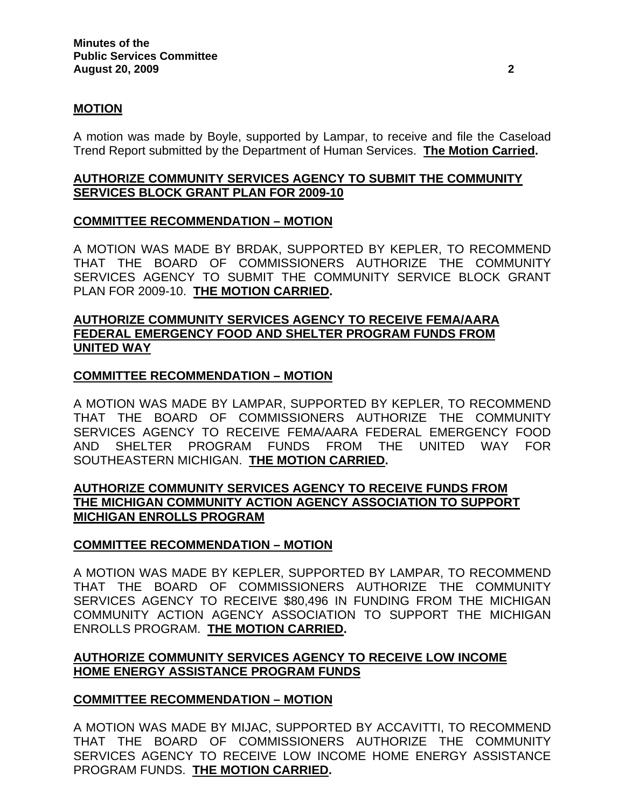### **MOTION**

A motion was made by Boyle, supported by Lampar, to receive and file the Caseload Trend Report submitted by the Department of Human Services. **The Motion Carried.** 

## **AUTHORIZE COMMUNITY SERVICES AGENCY TO SUBMIT THE COMMUNITY SERVICES BLOCK GRANT PLAN FOR 2009-10**

#### **COMMITTEE RECOMMENDATION – MOTION**

A MOTION WAS MADE BY BRDAK, SUPPORTED BY KEPLER, TO RECOMMEND THAT THE BOARD OF COMMISSIONERS AUTHORIZE THE COMMUNITY SERVICES AGENCY TO SUBMIT THE COMMUNITY SERVICE BLOCK GRANT PLAN FOR 2009-10. **THE MOTION CARRIED.** 

### **AUTHORIZE COMMUNITY SERVICES AGENCY TO RECEIVE FEMA/AARA FEDERAL EMERGENCY FOOD AND SHELTER PROGRAM FUNDS FROM UNITED WAY**

### **COMMITTEE RECOMMENDATION – MOTION**

A MOTION WAS MADE BY LAMPAR, SUPPORTED BY KEPLER, TO RECOMMEND THAT THE BOARD OF COMMISSIONERS AUTHORIZE THE COMMUNITY SERVICES AGENCY TO RECEIVE FEMA/AARA FEDERAL EMERGENCY FOOD AND SHELTER PROGRAM FUNDS FROM THE UNITED WAY FOR SOUTHEASTERN MICHIGAN. **THE MOTION CARRIED.** 

## **AUTHORIZE COMMUNITY SERVICES AGENCY TO RECEIVE FUNDS FROM THE MICHIGAN COMMUNITY ACTION AGENCY ASSOCIATION TO SUPPORT MICHIGAN ENROLLS PROGRAM**

#### **COMMITTEE RECOMMENDATION – MOTION**

A MOTION WAS MADE BY KEPLER, SUPPORTED BY LAMPAR, TO RECOMMEND THAT THE BOARD OF COMMISSIONERS AUTHORIZE THE COMMUNITY SERVICES AGENCY TO RECEIVE \$80,496 IN FUNDING FROM THE MICHIGAN COMMUNITY ACTION AGENCY ASSOCIATION TO SUPPORT THE MICHIGAN ENROLLS PROGRAM. **THE MOTION CARRIED.** 

#### **AUTHORIZE COMMUNITY SERVICES AGENCY TO RECEIVE LOW INCOME HOME ENERGY ASSISTANCE PROGRAM FUNDS**

#### **COMMITTEE RECOMMENDATION – MOTION**

A MOTION WAS MADE BY MIJAC, SUPPORTED BY ACCAVITTI, TO RECOMMEND THAT THE BOARD OF COMMISSIONERS AUTHORIZE THE COMMUNITY SERVICES AGENCY TO RECEIVE LOW INCOME HOME ENERGY ASSISTANCE PROGRAM FUNDS. **THE MOTION CARRIED.**